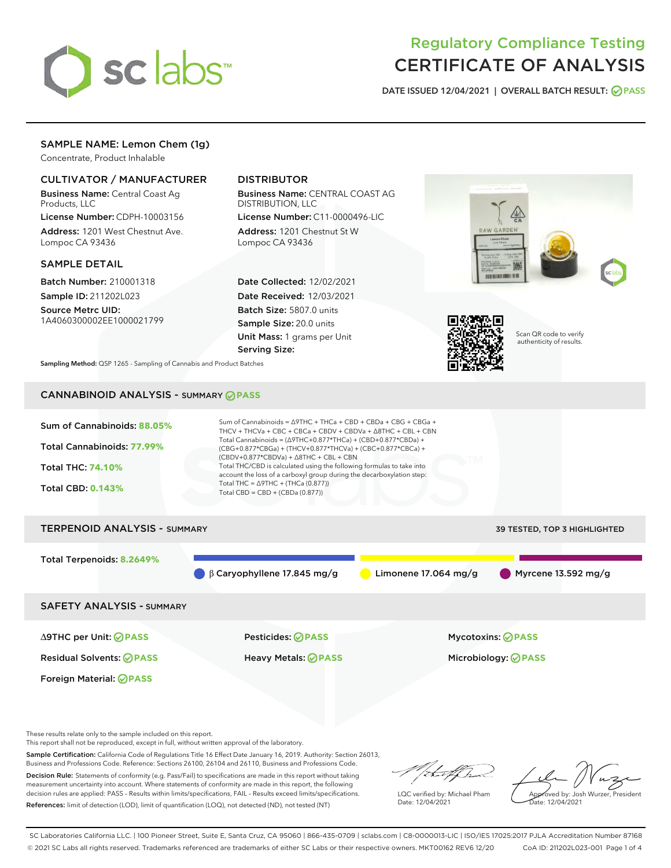

# Regulatory Compliance Testing CERTIFICATE OF ANALYSIS

DATE ISSUED 12/04/2021 | OVERALL BATCH RESULT: @ PASS

# SAMPLE NAME: Lemon Chem (1g)

Concentrate, Product Inhalable

## CULTIVATOR / MANUFACTURER

Business Name: Central Coast Ag Products, LLC

License Number: CDPH-10003156 Address: 1201 West Chestnut Ave. Lompoc CA 93436

#### SAMPLE DETAIL

Batch Number: 210001318 Sample ID: 211202L023

Source Metrc UID: 1A4060300002EE1000021799

# DISTRIBUTOR

Business Name: CENTRAL COAST AG DISTRIBUTION, LLC License Number: C11-0000496-LIC

Address: 1201 Chestnut St W Lompoc CA 93436

Date Collected: 12/02/2021 Date Received: 12/03/2021 Batch Size: 5807.0 units Sample Size: 20.0 units Unit Mass: 1 grams per Unit Serving Size:





Scan QR code to verify authenticity of results.

Sampling Method: QSP 1265 - Sampling of Cannabis and Product Batches

# CANNABINOID ANALYSIS - SUMMARY **PASS**



Total Terpenoids: **8.2649%**

β Caryophyllene 17.845 mg/g  $\bigcirc$  Limonene 17.064 mg/g Myrcene 13.592 mg/g

SAFETY ANALYSIS - SUMMARY

∆9THC per Unit: **PASS** Pesticides: **PASS** Mycotoxins: **PASS**

Foreign Material: **PASS**

Residual Solvents: **PASS** Heavy Metals: **PASS** Microbiology: **PASS**

These results relate only to the sample included on this report.

This report shall not be reproduced, except in full, without written approval of the laboratory.

Sample Certification: California Code of Regulations Title 16 Effect Date January 16, 2019. Authority: Section 26013, Business and Professions Code. Reference: Sections 26100, 26104 and 26110, Business and Professions Code. Decision Rule: Statements of conformity (e.g. Pass/Fail) to specifications are made in this report without taking

measurement uncertainty into account. Where statements of conformity are made in this report, the following decision rules are applied: PASS – Results within limits/specifications, FAIL – Results exceed limits/specifications. References: limit of detection (LOD), limit of quantification (LOQ), not detected (ND), not tested (NT)

that f ha

LQC verified by: Michael Pham Date: 12/04/2021

Approved by: Josh Wurzer, President ate: 12/04/2021

SC Laboratories California LLC. | 100 Pioneer Street, Suite E, Santa Cruz, CA 95060 | 866-435-0709 | sclabs.com | C8-0000013-LIC | ISO/IES 17025:2017 PJLA Accreditation Number 87168 © 2021 SC Labs all rights reserved. Trademarks referenced are trademarks of either SC Labs or their respective owners. MKT00162 REV6 12/20 CoA ID: 211202L023-001 Page 1 of 4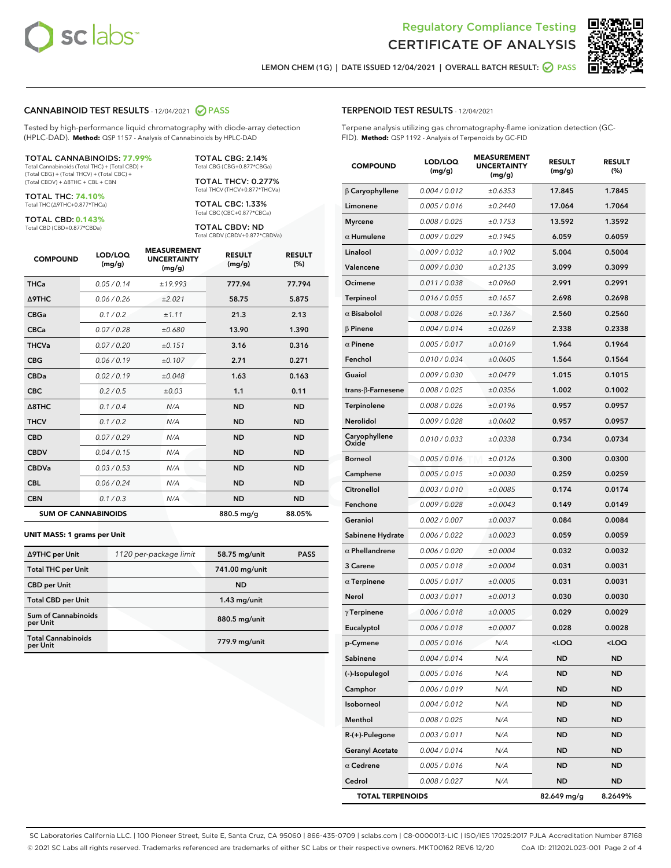



LEMON CHEM (1G) | DATE ISSUED 12/04/2021 | OVERALL BATCH RESULT:  $\bigcirc$  PASS

#### CANNABINOID TEST RESULTS - 12/04/2021 2 PASS

Tested by high-performance liquid chromatography with diode-array detection (HPLC-DAD). **Method:** QSP 1157 - Analysis of Cannabinoids by HPLC-DAD

#### TOTAL CANNABINOIDS: **77.99%**

Total Cannabinoids (Total THC) + (Total CBD) + (Total CBG) + (Total THCV) + (Total CBC) + (Total CBDV) + ∆8THC + CBL + CBN

TOTAL THC: **74.10%** Total THC (∆9THC+0.877\*THCa)

TOTAL CBD: **0.143%**

Total CBD (CBD+0.877\*CBDa)

TOTAL CBG: 2.14% Total CBG (CBG+0.877\*CBGa)

TOTAL THCV: 0.277% Total THCV (THCV+0.877\*THCVa)

TOTAL CBC: 1.33% Total CBC (CBC+0.877\*CBCa)

TOTAL CBDV: ND Total CBDV (CBDV+0.877\*CBDVa)

| <b>COMPOUND</b>  | LOD/LOQ<br>(mg/g)          | <b>MEASUREMENT</b><br><b>UNCERTAINTY</b><br>(mg/g) | <b>RESULT</b><br>(mg/g) | <b>RESULT</b><br>(%) |
|------------------|----------------------------|----------------------------------------------------|-------------------------|----------------------|
| <b>THCa</b>      | 0.05 / 0.14                | ±19.993                                            | 777.94                  | 77.794               |
| <b>A9THC</b>     | 0.06 / 0.26                | ±2.021                                             | 58.75                   | 5.875                |
| <b>CBGa</b>      | 0.1/0.2                    | ±1.11                                              | 21.3                    | 2.13                 |
| <b>CBCa</b>      | 0.07/0.28                  | ±0.680                                             | 13.90                   | 1.390                |
| <b>THCVa</b>     | 0.07/0.20                  | ±0.151                                             | 3.16                    | 0.316                |
| <b>CBG</b>       | 0.06/0.19                  | ±0.107                                             | 2.71                    | 0.271                |
| <b>CBDa</b>      | 0.02/0.19                  | ±0.048                                             | 1.63                    | 0.163                |
| <b>CBC</b>       | 0.2 / 0.5                  | ±0.03                                              | 1.1                     | 0.11                 |
| $\triangle$ 8THC | 0.1/0.4                    | N/A                                                | <b>ND</b>               | <b>ND</b>            |
| <b>THCV</b>      | 0.1 / 0.2                  | N/A                                                | <b>ND</b>               | <b>ND</b>            |
| <b>CBD</b>       | 0.07/0.29                  | N/A                                                | <b>ND</b>               | <b>ND</b>            |
| <b>CBDV</b>      | 0.04 / 0.15                | N/A                                                | <b>ND</b>               | <b>ND</b>            |
| <b>CBDVa</b>     | 0.03 / 0.53                | N/A                                                | <b>ND</b>               | <b>ND</b>            |
| <b>CBL</b>       | 0.06 / 0.24                | N/A                                                | <b>ND</b>               | <b>ND</b>            |
| <b>CBN</b>       | 0.1/0.3                    | N/A                                                | <b>ND</b>               | <b>ND</b>            |
|                  | <b>SUM OF CANNABINOIDS</b> |                                                    | 880.5 mg/g              | 88.05%               |

#### **UNIT MASS: 1 grams per Unit**

| ∆9THC per Unit                        | 1120 per-package limit | 58.75 mg/unit  | <b>PASS</b> |
|---------------------------------------|------------------------|----------------|-------------|
| <b>Total THC per Unit</b>             |                        | 741.00 mg/unit |             |
| <b>CBD</b> per Unit                   |                        | <b>ND</b>      |             |
| <b>Total CBD per Unit</b>             |                        | $1.43$ mg/unit |             |
| Sum of Cannabinoids<br>per Unit       |                        | 880.5 mg/unit  |             |
| <b>Total Cannabinoids</b><br>per Unit |                        | 779.9 mg/unit  |             |

#### TERPENOID TEST RESULTS - 12/04/2021

Terpene analysis utilizing gas chromatography-flame ionization detection (GC-FID). **Method:** QSP 1192 - Analysis of Terpenoids by GC-FID

| <b>COMPOUND</b>           | LOD/LOQ<br>(mg/g) | <b>MEASUREMENT</b><br><b>UNCERTAINTY</b><br>(mg/g) | <b>RESULT</b><br>(mg/g)                          | <b>RESULT</b><br>(%) |
|---------------------------|-------------------|----------------------------------------------------|--------------------------------------------------|----------------------|
| $\beta$ Caryophyllene     | 0.004 / 0.012     | ±0.6353                                            | 17.845                                           | 1.7845               |
| Limonene                  | 0.005 / 0.016     | ±0.2440                                            | 17.064                                           | 1.7064               |
| <b>Myrcene</b>            | 0.008 / 0.025     | ±0.1753                                            | 13.592                                           | 1.3592               |
| $\alpha$ Humulene         | 0.009/0.029       | ±0.1945                                            | 6.059                                            | 0.6059               |
| Linalool                  | 0.009 / 0.032     | ±0.1902                                            | 5.004                                            | 0.5004               |
| Valencene                 | 0.009 / 0.030     | ±0.2135                                            | 3.099                                            | 0.3099               |
| Ocimene                   | 0.011 / 0.038     | ±0.0960                                            | 2.991                                            | 0.2991               |
| <b>Terpineol</b>          | 0.016 / 0.055     | ±0.1657                                            | 2.698                                            | 0.2698               |
| $\alpha$ Bisabolol        | 0.008 / 0.026     | ±0.1367                                            | 2.560                                            | 0.2560               |
| <b>β Pinene</b>           | 0.004 / 0.014     | ±0.0269                                            | 2.338                                            | 0.2338               |
| $\alpha$ Pinene           | 0.005 / 0.017     | ±0.0169                                            | 1.964                                            | 0.1964               |
| Fenchol                   | 0.010 / 0.034     | ±0.0605                                            | 1.564                                            | 0.1564               |
| Guaiol                    | 0.009/0.030       | ±0.0479                                            | 1.015                                            | 0.1015               |
| trans- $\beta$ -Farnesene | 0.008 / 0.025     | ±0.0356                                            | 1.002                                            | 0.1002               |
| Terpinolene               | 0.008 / 0.026     | ±0.0196                                            | 0.957                                            | 0.0957               |
| Nerolidol                 | 0.009 / 0.028     | ±0.0602                                            | 0.957                                            | 0.0957               |
| Caryophyllene<br>Oxide    | 0.010 / 0.033     | ±0.0338                                            | 0.734                                            | 0.0734               |
| <b>Borneol</b>            | 0.005 / 0.016     | ±0.0126                                            | 0.300                                            | 0.0300               |
| Camphene                  | 0.005 / 0.015     | ±0.0030                                            | 0.259                                            | 0.0259               |
| Citronellol               | 0.003 / 0.010     | ±0.0085                                            | 0.174                                            | 0.0174               |
| Fenchone                  | 0.009 / 0.028     | ±0.0043                                            | 0.149                                            | 0.0149               |
| Geraniol                  | 0.002 / 0.007     | ±0.0037                                            | 0.084                                            | 0.0084               |
| Sabinene Hydrate          | 0.006 / 0.022     | ±0.0023                                            | 0.059                                            | 0.0059               |
| $\alpha$ Phellandrene     | 0.006 / 0.020     | ±0.0004                                            | 0.032                                            | 0.0032               |
| 3 Carene                  | 0.005 / 0.018     | ±0.0004                                            | 0.031                                            | 0.0031               |
| $\alpha$ Terpinene        | 0.005 / 0.017     | ±0.0005                                            | 0.031                                            | 0.0031               |
| Nerol                     | 0.003 / 0.011     | ±0.0013                                            | 0.030                                            | 0.0030               |
| $\gamma$ Terpinene        | 0.006 / 0.018     | ±0.0005                                            | 0.029                                            | 0.0029               |
| Eucalyptol                | 0.006 / 0.018     | ±0.0007                                            | 0.028                                            | 0.0028               |
| p-Cymene                  | 0.005 / 0.016     | N/A                                                | <loq< th=""><th><math>&lt;</math>LOQ</th></loq<> | $<$ LOQ              |
| Sabinene                  | 0.004 / 0.014     | N/A                                                | ND                                               | ND                   |
| (-)-Isopulegol            | 0.005 / 0.016     | N/A                                                | <b>ND</b>                                        | <b>ND</b>            |
| Camphor                   | 0.006 / 0.019     | N/A                                                | <b>ND</b>                                        | <b>ND</b>            |
| Isoborneol                | 0.004 / 0.012     | N/A                                                | ND                                               | ND                   |
| Menthol                   | 0.008 / 0.025     | N/A                                                | ND                                               | ND                   |
| R-(+)-Pulegone            | 0.003 / 0.011     | N/A                                                | <b>ND</b>                                        | <b>ND</b>            |
| <b>Geranyl Acetate</b>    | 0.004 / 0.014     | N/A                                                | ND                                               | ND                   |
| $\alpha$ Cedrene          | 0.005 / 0.016     | N/A                                                | ND                                               | <b>ND</b>            |
| Cedrol                    | 0.008 / 0.027     | N/A                                                | <b>ND</b>                                        | ND                   |
| <b>TOTAL TERPENOIDS</b>   |                   |                                                    | 82.649 mg/g                                      | 8.2649%              |

SC Laboratories California LLC. | 100 Pioneer Street, Suite E, Santa Cruz, CA 95060 | 866-435-0709 | sclabs.com | C8-0000013-LIC | ISO/IES 17025:2017 PJLA Accreditation Number 87168 © 2021 SC Labs all rights reserved. Trademarks referenced are trademarks of either SC Labs or their respective owners. MKT00162 REV6 12/20 CoA ID: 211202L023-001 Page 2 of 4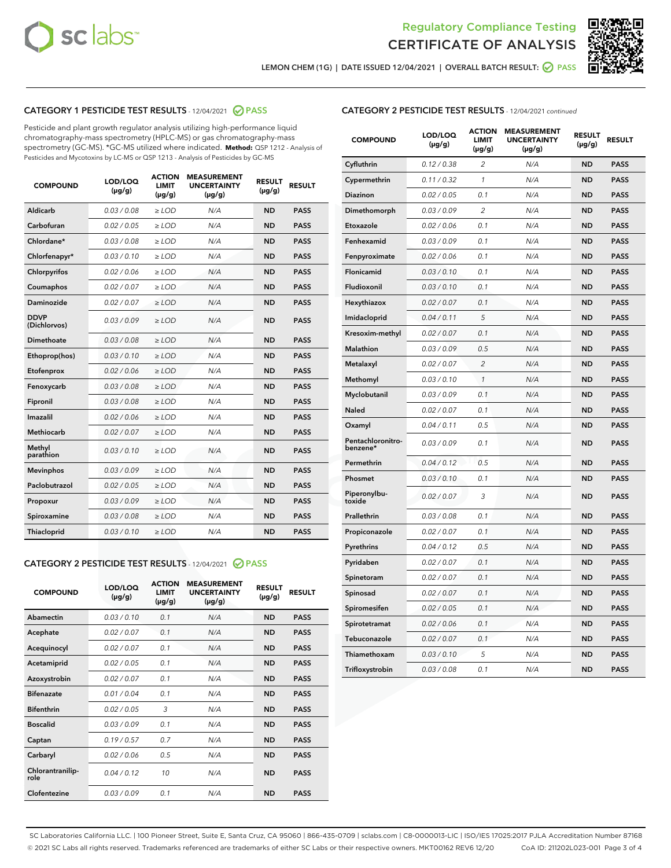



LEMON CHEM (1G) | DATE ISSUED 12/04/2021 | OVERALL BATCH RESULT: 2 PASS

## CATEGORY 1 PESTICIDE TEST RESULTS - 12/04/2021 2 PASS

Pesticide and plant growth regulator analysis utilizing high-performance liquid chromatography-mass spectrometry (HPLC-MS) or gas chromatography-mass spectrometry (GC-MS). \*GC-MS utilized where indicated. **Method:** QSP 1212 - Analysis of Pesticides and Mycotoxins by LC-MS or QSP 1213 - Analysis of Pesticides by GC-MS

| <b>COMPOUND</b>             | LOD/LOQ<br>$(\mu g/g)$ | <b>ACTION</b><br><b>LIMIT</b><br>$(\mu g/g)$ | <b>MEASUREMENT</b><br><b>UNCERTAINTY</b><br>$(\mu g/g)$ | <b>RESULT</b><br>$(\mu g/g)$ | <b>RESULT</b> |
|-----------------------------|------------------------|----------------------------------------------|---------------------------------------------------------|------------------------------|---------------|
| Aldicarb                    | 0.03 / 0.08            | $\ge$ LOD                                    | N/A                                                     | <b>ND</b>                    | <b>PASS</b>   |
| Carbofuran                  | 0.02/0.05              | $>$ LOD                                      | N/A                                                     | <b>ND</b>                    | <b>PASS</b>   |
| Chlordane*                  | 0.03 / 0.08            | $\geq$ LOD                                   | N/A                                                     | <b>ND</b>                    | <b>PASS</b>   |
| Chlorfenapyr*               | 0.03/0.10              | $\geq$ LOD                                   | N/A                                                     | <b>ND</b>                    | <b>PASS</b>   |
| Chlorpyrifos                | 0.02 / 0.06            | $\ge$ LOD                                    | N/A                                                     | <b>ND</b>                    | <b>PASS</b>   |
| Coumaphos                   | 0.02 / 0.07            | $\ge$ LOD                                    | N/A                                                     | <b>ND</b>                    | <b>PASS</b>   |
| Daminozide                  | 0.02/0.07              | $>$ LOD                                      | N/A                                                     | <b>ND</b>                    | <b>PASS</b>   |
| <b>DDVP</b><br>(Dichlorvos) | 0.03/0.09              | $\ge$ LOD                                    | N/A                                                     | <b>ND</b>                    | <b>PASS</b>   |
| Dimethoate                  | 0.03 / 0.08            | $\ge$ LOD                                    | N/A                                                     | <b>ND</b>                    | <b>PASS</b>   |
| Ethoprop(hos)               | 0.03/0.10              | $>$ LOD                                      | N/A                                                     | <b>ND</b>                    | <b>PASS</b>   |
| Etofenprox                  | 0.02 / 0.06            | $\ge$ LOD                                    | N/A                                                     | <b>ND</b>                    | <b>PASS</b>   |
| Fenoxycarb                  | 0.03 / 0.08            | $\ge$ LOD                                    | N/A                                                     | <b>ND</b>                    | <b>PASS</b>   |
| Fipronil                    | 0.03/0.08              | $\ge$ LOD                                    | N/A                                                     | <b>ND</b>                    | <b>PASS</b>   |
| Imazalil                    | 0.02 / 0.06            | $\ge$ LOD                                    | N/A                                                     | <b>ND</b>                    | <b>PASS</b>   |
| <b>Methiocarb</b>           | 0.02 / 0.07            | $\ge$ LOD                                    | N/A                                                     | <b>ND</b>                    | <b>PASS</b>   |
| Methyl<br>parathion         | 0.03/0.10              | $\ge$ LOD                                    | N/A                                                     | <b>ND</b>                    | <b>PASS</b>   |
| <b>Mevinphos</b>            | 0.03/0.09              | $>$ LOD                                      | N/A                                                     | <b>ND</b>                    | <b>PASS</b>   |
| Paclobutrazol               | 0.02 / 0.05            | $\ge$ LOD                                    | N/A                                                     | <b>ND</b>                    | <b>PASS</b>   |
| Propoxur                    | 0.03/0.09              | $\ge$ LOD                                    | N/A                                                     | <b>ND</b>                    | <b>PASS</b>   |
| Spiroxamine                 | 0.03 / 0.08            | $\ge$ LOD                                    | N/A                                                     | <b>ND</b>                    | <b>PASS</b>   |
| Thiacloprid                 | 0.03/0.10              | $\ge$ LOD                                    | N/A                                                     | <b>ND</b>                    | <b>PASS</b>   |

#### CATEGORY 2 PESTICIDE TEST RESULTS - 12/04/2021 @ PASS

| <b>COMPOUND</b>          | LOD/LOO<br>$(\mu g/g)$ | <b>ACTION</b><br>LIMIT<br>$(\mu g/g)$ | <b>MEASUREMENT</b><br><b>UNCERTAINTY</b><br>$(\mu g/g)$ | <b>RESULT</b><br>$(\mu g/g)$ | <b>RESULT</b> |  |
|--------------------------|------------------------|---------------------------------------|---------------------------------------------------------|------------------------------|---------------|--|
| Abamectin                | 0.03/0.10              | 0.1                                   | N/A                                                     | <b>ND</b>                    | <b>PASS</b>   |  |
| Acephate                 | 0.02/0.07              | 0.1                                   | N/A                                                     | <b>ND</b>                    | <b>PASS</b>   |  |
| Acequinocyl              | 0.02/0.07              | 0.1                                   | N/A                                                     | <b>ND</b>                    | <b>PASS</b>   |  |
| Acetamiprid              | 0.02/0.05              | 0.1                                   | N/A                                                     | <b>ND</b>                    | <b>PASS</b>   |  |
| Azoxystrobin             | 0.02/0.07              | 0.1                                   | N/A                                                     | <b>ND</b>                    | <b>PASS</b>   |  |
| <b>Bifenazate</b>        | 0.01 / 0.04            | 0.1                                   | N/A                                                     | <b>ND</b>                    | <b>PASS</b>   |  |
| <b>Bifenthrin</b>        | 0.02/0.05              | 3                                     | N/A                                                     | <b>ND</b>                    | <b>PASS</b>   |  |
| <b>Boscalid</b>          | 0.03/0.09              | 0.1                                   | N/A                                                     | <b>ND</b>                    | <b>PASS</b>   |  |
| Captan                   | 0.19/0.57              | 0.7                                   | N/A                                                     | <b>ND</b>                    | <b>PASS</b>   |  |
| Carbaryl                 | 0.02/0.06              | 0.5                                   | N/A                                                     | <b>ND</b>                    | <b>PASS</b>   |  |
| Chlorantranilip-<br>role | 0.04/0.12              | 10                                    | N/A                                                     | <b>ND</b>                    | <b>PASS</b>   |  |
| Clofentezine             | 0.03/0.09              | 0.1                                   | N/A                                                     | <b>ND</b>                    | <b>PASS</b>   |  |

| <b>COMPOUND</b>               | LOD/LOQ<br>(µg/g) | <b>ACTION</b><br>LIMIT<br>$(\mu g/g)$ | <b>MEASUREMENT</b><br><b>UNCERTAINTY</b><br>$(\mu g/g)$ | <b>RESULT</b><br>(µg/g) | <b>RESULT</b> |
|-------------------------------|-------------------|---------------------------------------|---------------------------------------------------------|-------------------------|---------------|
| Cyfluthrin                    | 0.12 / 0.38       | $\overline{2}$                        | N/A                                                     | <b>ND</b>               | <b>PASS</b>   |
| Cypermethrin                  | 0.11 / 0.32       | 1                                     | N/A                                                     | <b>ND</b>               | <b>PASS</b>   |
| Diazinon                      | 0.02 / 0.05       | 0.1                                   | N/A                                                     | <b>ND</b>               | <b>PASS</b>   |
| Dimethomorph                  | 0.03/0.09         | $\overline{2}$                        | N/A                                                     | <b>ND</b>               | <b>PASS</b>   |
| Etoxazole                     | 0.02 / 0.06       | 0.1                                   | N/A                                                     | <b>ND</b>               | <b>PASS</b>   |
| Fenhexamid                    | 0.03 / 0.09       | 0.1                                   | N/A                                                     | <b>ND</b>               | <b>PASS</b>   |
| Fenpyroximate                 | 0.02 / 0.06       | 0.1                                   | N/A                                                     | <b>ND</b>               | <b>PASS</b>   |
| <b>Flonicamid</b>             | 0.03 / 0.10       | 0.1                                   | N/A                                                     | <b>ND</b>               | <b>PASS</b>   |
| Fludioxonil                   | 0.03 / 0.10       | 0.1                                   | N/A                                                     | <b>ND</b>               | <b>PASS</b>   |
| Hexythiazox                   | 0.02 / 0.07       | 0.1                                   | N/A                                                     | <b>ND</b>               | <b>PASS</b>   |
| Imidacloprid                  | 0.04 / 0.11       | 5                                     | N/A                                                     | <b>ND</b>               | <b>PASS</b>   |
| Kresoxim-methyl               | 0.02 / 0.07       | 0.1                                   | N/A                                                     | <b>ND</b>               | <b>PASS</b>   |
| Malathion                     | 0.03 / 0.09       | 0.5                                   | N/A                                                     | <b>ND</b>               | <b>PASS</b>   |
| Metalaxyl                     | 0.02 / 0.07       | $\overline{c}$                        | N/A                                                     | <b>ND</b>               | <b>PASS</b>   |
| Methomyl                      | 0.03 / 0.10       | $\mathcal{I}$                         | N/A                                                     | <b>ND</b>               | <b>PASS</b>   |
| Myclobutanil                  | 0.03/0.09         | 0.1                                   | N/A                                                     | <b>ND</b>               | <b>PASS</b>   |
| Naled                         | 0.02 / 0.07       | 0.1                                   | N/A                                                     | ND                      | <b>PASS</b>   |
| Oxamyl                        | 0.04 / 0.11       | 0.5                                   | N/A                                                     | <b>ND</b>               | <b>PASS</b>   |
| Pentachloronitro-<br>benzene* | 0.03 / 0.09       | 0.1                                   | N/A                                                     | <b>ND</b>               | <b>PASS</b>   |
| Permethrin                    | 0.04/0.12         | 0.5                                   | N/A                                                     | <b>ND</b>               | <b>PASS</b>   |
| Phosmet                       | 0.03 / 0.10       | 0.1                                   | N/A                                                     | <b>ND</b>               | <b>PASS</b>   |
| Piperonylbu-<br>toxide        | 0.02 / 0.07       | 3                                     | N/A                                                     | <b>ND</b>               | <b>PASS</b>   |
| Prallethrin                   | 0.03 / 0.08       | 0.1                                   | N/A                                                     | <b>ND</b>               | <b>PASS</b>   |
| Propiconazole                 | 0.02 / 0.07       | 0.1                                   | N/A                                                     | <b>ND</b>               | <b>PASS</b>   |
| Pyrethrins                    | 0.04 / 0.12       | 0.5                                   | N/A                                                     | <b>ND</b>               | <b>PASS</b>   |
| Pyridaben                     | 0.02 / 0.07       | 0.1                                   | N/A                                                     | <b>ND</b>               | <b>PASS</b>   |
| Spinetoram                    | 0.02 / 0.07       | 0.1                                   | N/A                                                     | ND                      | <b>PASS</b>   |
| Spinosad                      | 0.02 / 0.07       | 0.1                                   | N/A                                                     | <b>ND</b>               | <b>PASS</b>   |
| Spiromesifen                  | 0.02 / 0.05       | 0.1                                   | N/A                                                     | <b>ND</b>               | <b>PASS</b>   |
| Spirotetramat                 | 0.02 / 0.06       | 0.1                                   | N/A                                                     | <b>ND</b>               | <b>PASS</b>   |
| Tebuconazole                  | 0.02 / 0.07       | 0.1                                   | N/A                                                     | <b>ND</b>               | <b>PASS</b>   |
| Thiamethoxam                  | 0.03 / 0.10       | 5                                     | N/A                                                     | <b>ND</b>               | <b>PASS</b>   |
| Trifloxystrobin               | 0.03 / 0.08       | 0.1                                   | N/A                                                     | <b>ND</b>               | <b>PASS</b>   |

SC Laboratories California LLC. | 100 Pioneer Street, Suite E, Santa Cruz, CA 95060 | 866-435-0709 | sclabs.com | C8-0000013-LIC | ISO/IES 17025:2017 PJLA Accreditation Number 87168 © 2021 SC Labs all rights reserved. Trademarks referenced are trademarks of either SC Labs or their respective owners. MKT00162 REV6 12/20 CoA ID: 211202L023-001 Page 3 of 4